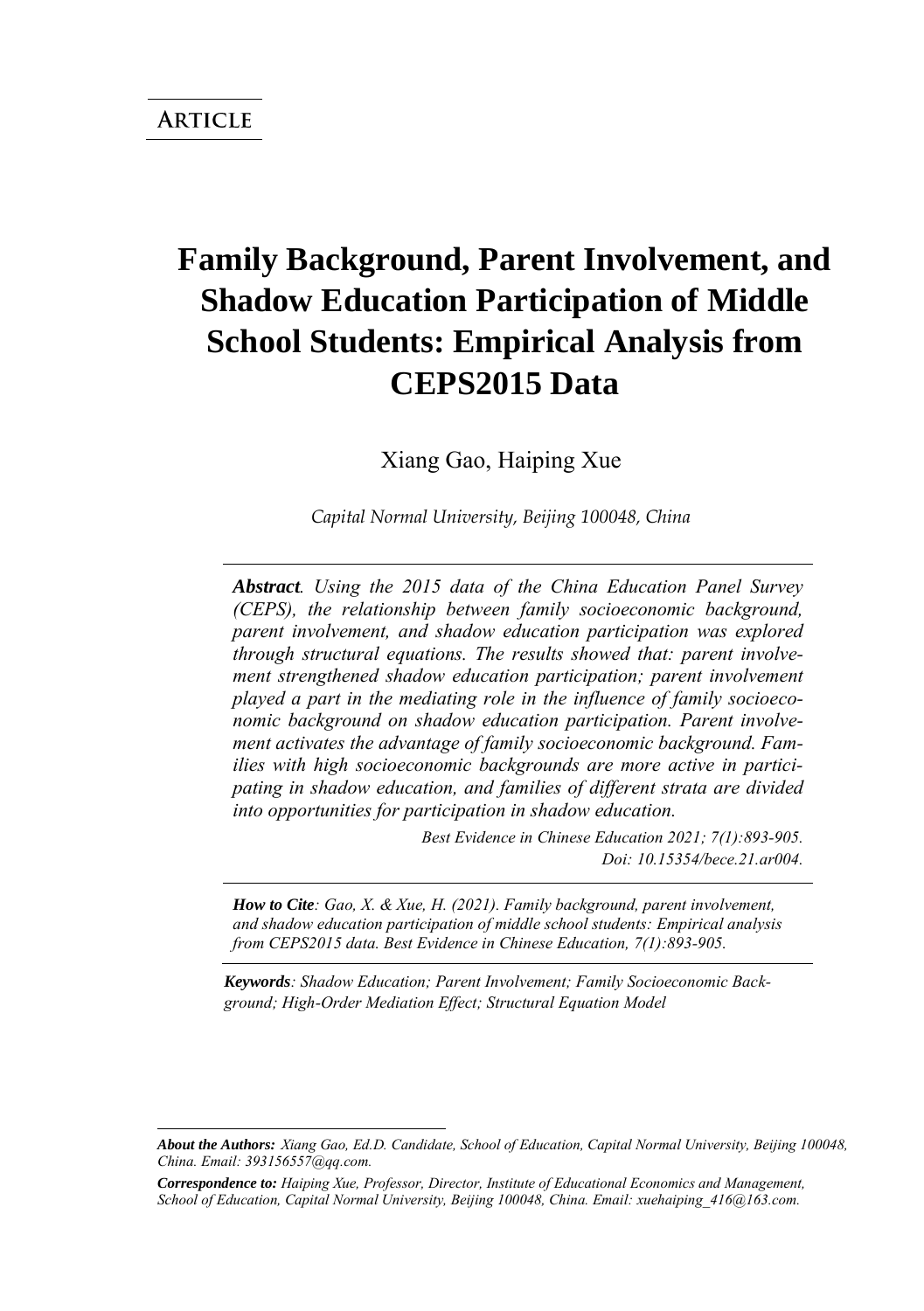# **Family Background, Parent Involvement, and Shadow Education Participation of Middle School Students: Empirical Analysis from CEPS2015 Data**

Xiang Gao, Haiping Xue

*Capital Normal University, Beijing 100048, China*

*Abstract. Using the 2015 data of the China Education Panel Survey (CEPS), the relationship between family socioeconomic background, parent involvement, and shadow education participation was explored through structural equations. The results showed that: parent involvement strengthened shadow education participation; parent involvement played a part in the mediating role in the influence of family socioeconomic background on shadow education participation. Parent involvement activates the advantage of family socioeconomic background. Families with high socioeconomic backgrounds are more active in participating in shadow education, and families of different strata are divided into opportunities for participation in shadow education.*

> *Best Evidence in Chinese Education 2021; 7(1):893-905. Doi: 10.15354/bece.21.ar004.*

*How to Cite: Gao, X. & Xue, H. (2021). Family background, parent involvement, and shadow education participation of middle school students: Empirical analysis from CEPS2015 data. Best Evidence in Chinese Education, 7(1):893-905.*

*Keywords: Shadow Education; Parent Involvement; Family Socioeconomic Background; High-Order Mediation Effect; Structural Equation Model*

*About the Authors: Xiang Gao, Ed.D. Candidate, School of Education, Capital Normal University, Beijing 100048, China. Email: 393156557@qq.com.* 

*Correspondence to: Haiping Xue, Professor, Director, Institute of Educational Economics and Management, School of Education, Capital Normal University, Beijing 100048, China. Email: xuehaiping\_416@163.com.*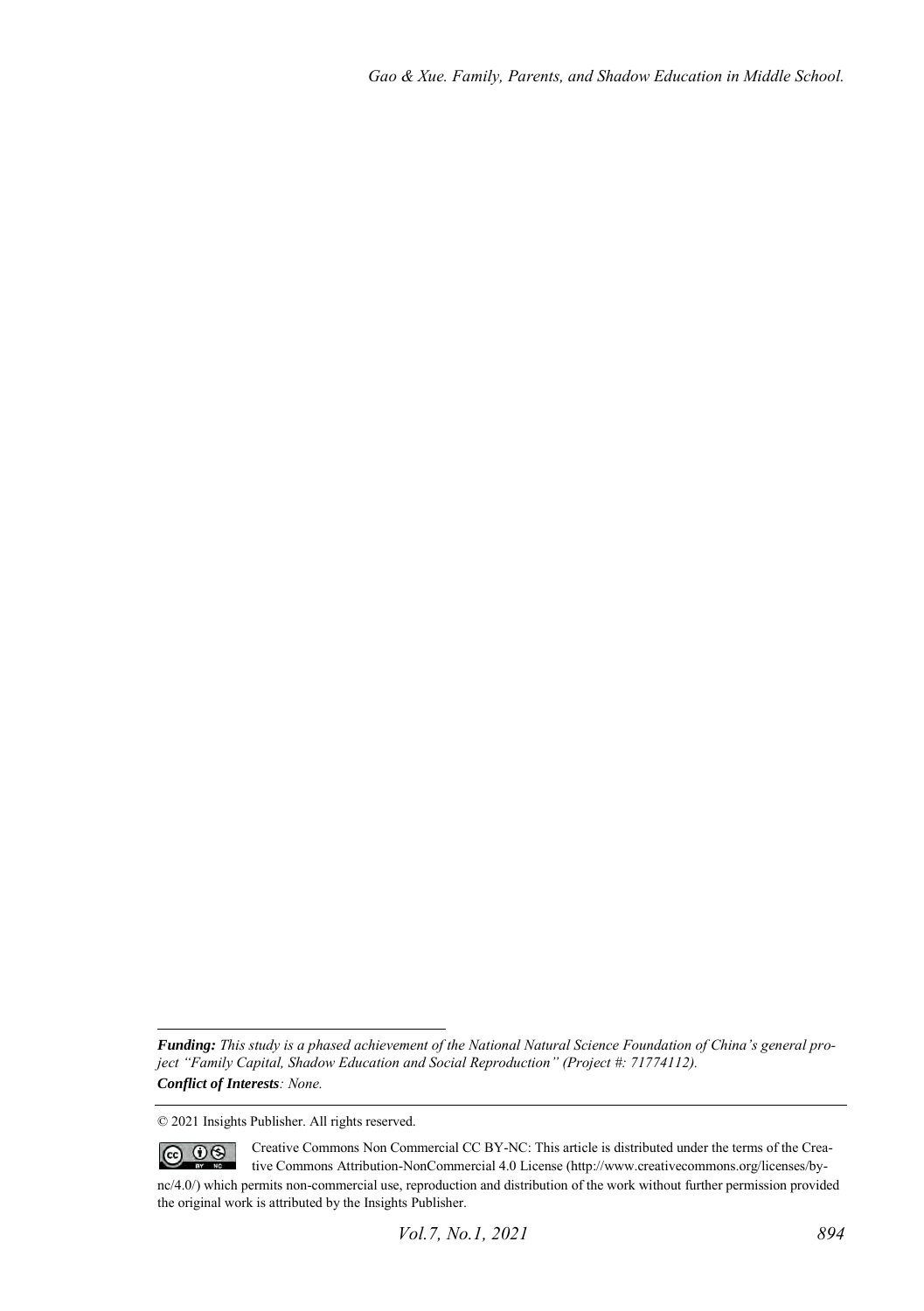*Funding: This study is a phased achievement of the National Natural Science Foundation of China's general project "Family Capital, Shadow Education and Social Reproduction" (Project #: 71774112). Conflict of Interests: None.* 

<sup>© 2021</sup> Insights Publisher. All rights reserved.

 $\circledcirc$   $\circledcirc$ Creative Commons Non Commercial CC BY-NC: This article is distributed under the terms of the Creative Commons Attribution-NonCommercial 4.0 License (http://www.creativecommons.org/licenses/bync/4.0/) which permits non-commercial use, reproduction and distribution of the work without further permission provided the original work is attributed by the Insights Publisher.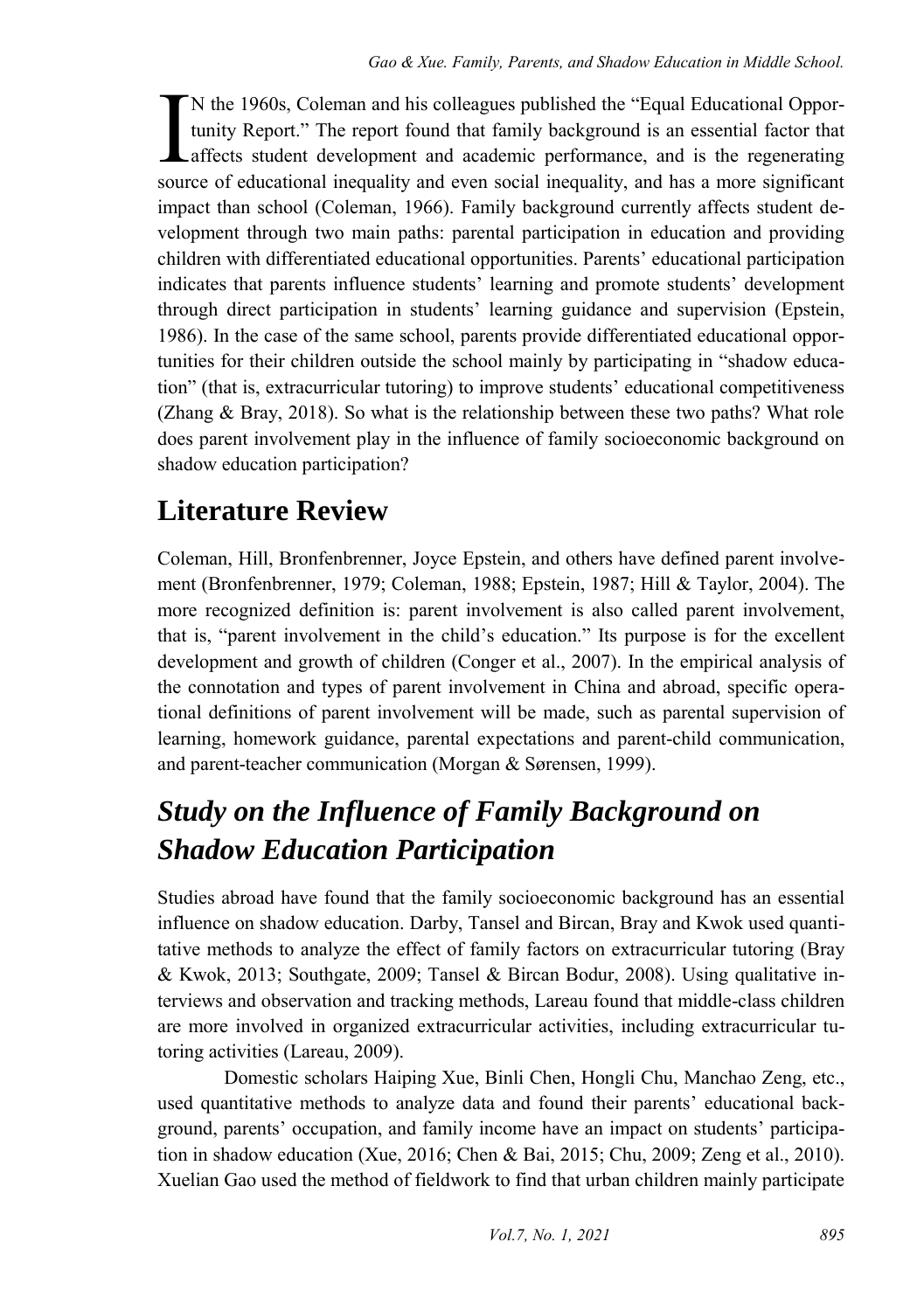N the 1960s, Coleman and his colleagues published the "Equal Educational Opportunity Report." The report found that family background is an essential factor that affects student development and academic performance, and is the regenerating N the 1960s, Coleman and his colleagues published the "Equal Educational Opportunity Report." The report found that family background is an essential factor that affects student development and academic performance, and is impact than school (Coleman, 1966). Family background currently affects student development through two main paths: parental participation in education and providing children with differentiated educational opportunities. Parents' educational participation indicates that parents influence students' learning and promote students' development through direct participation in students' learning guidance and supervision (Epstein, 1986). In the case of the same school, parents provide differentiated educational opportunities for their children outside the school mainly by participating in "shadow education" (that is, extracurricular tutoring) to improve students' educational competitiveness (Zhang & Bray, 2018). So what is the relationship between these two paths? What role does parent involvement play in the influence of family socioeconomic background on shadow education participation?

## **Literature Review**

Coleman, Hill, Bronfenbrenner, Joyce Epstein, and others have defined parent involvement (Bronfenbrenner, 1979; Coleman, 1988; Epstein, 1987; Hill & Taylor, 2004). The more recognized definition is: parent involvement is also called parent involvement, that is, "parent involvement in the child's education." Its purpose is for the excellent development and growth of children (Conger et al., 2007). In the empirical analysis of the connotation and types of parent involvement in China and abroad, specific operational definitions of parent involvement will be made, such as parental supervision of learning, homework guidance, parental expectations and parent-child communication, and parent-teacher communication (Morgan & Sørensen, 1999).

## *Study on the Influence of Family Background on Shadow Education Participation*

Studies abroad have found that the family socioeconomic background has an essential influence on shadow education. Darby, Tansel and Bircan, Bray and Kwok used quantitative methods to analyze the effect of family factors on extracurricular tutoring (Bray & Kwok, 2013; Southgate, 2009; Tansel & Bircan Bodur, 2008). Using qualitative interviews and observation and tracking methods, Lareau found that middle-class children are more involved in organized extracurricular activities, including extracurricular tutoring activities (Lareau, 2009).

Domestic scholars Haiping Xue, Binli Chen, Hongli Chu, Manchao Zeng, etc., used quantitative methods to analyze data and found their parents' educational background, parents' occupation, and family income have an impact on students' participation in shadow education (Xue, 2016; Chen & Bai, 2015; Chu, 2009; Zeng et al., 2010). Xuelian Gao used the method of fieldwork to find that urban children mainly participate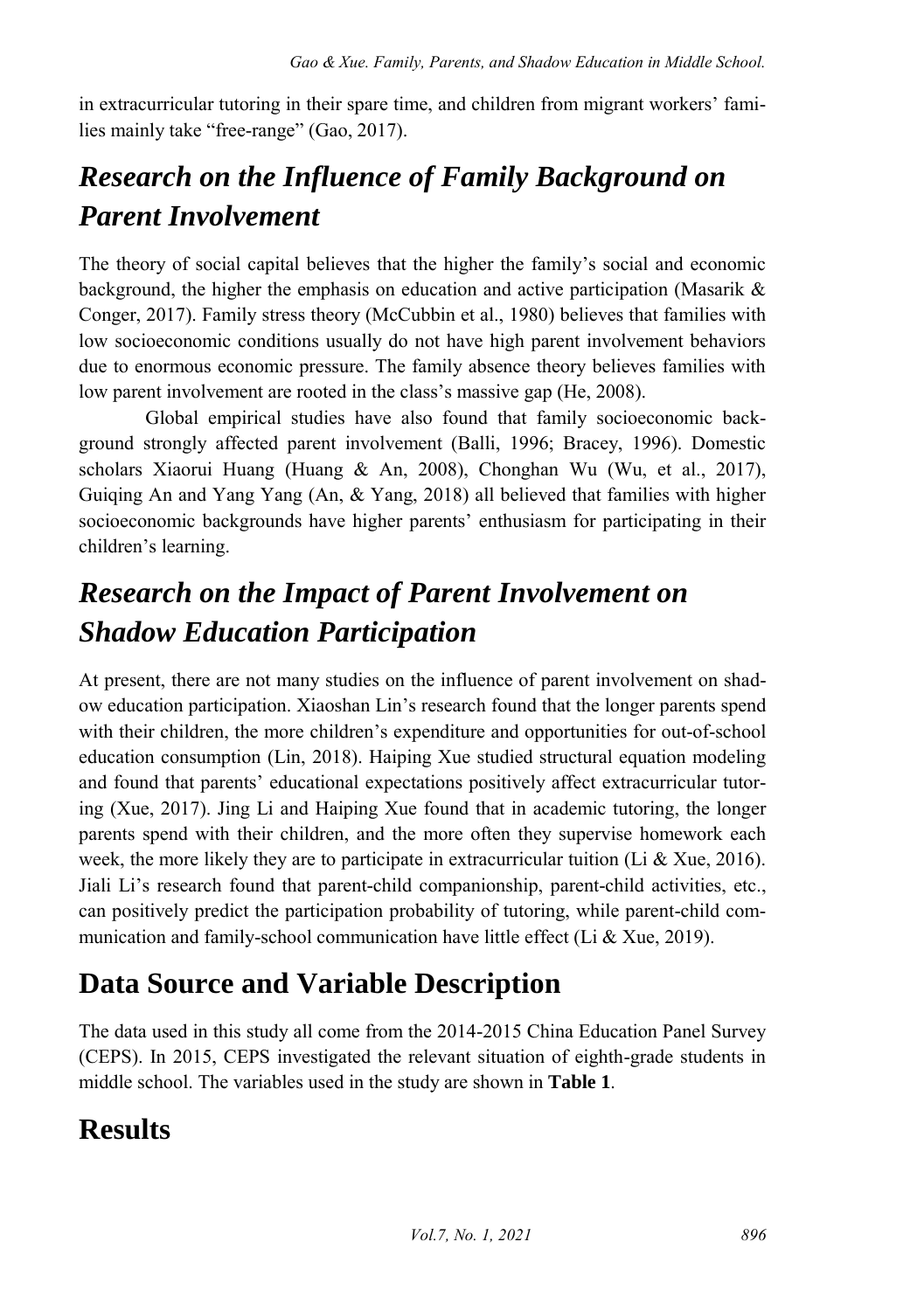in extracurricular tutoring in their spare time, and children from migrant workers' families mainly take "free-range" (Gao, 2017).

## *Research on the Influence of Family Background on Parent Involvement*

The theory of social capital believes that the higher the family's social and economic background, the higher the emphasis on education and active participation (Masarik & Conger, 2017). Family stress theory (McCubbin et al., 1980) believes that families with low socioeconomic conditions usually do not have high parent involvement behaviors due to enormous economic pressure. The family absence theory believes families with low parent involvement are rooted in the class's massive gap (He, 2008).

Global empirical studies have also found that family socioeconomic background strongly affected parent involvement (Balli, 1996; Bracey, 1996). Domestic scholars Xiaorui Huang (Huang & An, 2008), Chonghan Wu (Wu, et al., 2017), Guiqing An and Yang Yang (An, & Yang, 2018) all believed that families with higher socioeconomic backgrounds have higher parents' enthusiasm for participating in their children's learning.

## *Research on the Impact of Parent Involvement on Shadow Education Participation*

At present, there are not many studies on the influence of parent involvement on shadow education participation. Xiaoshan Lin's research found that the longer parents spend with their children, the more children's expenditure and opportunities for out-of-school education consumption (Lin, 2018). Haiping Xue studied structural equation modeling and found that parents' educational expectations positively affect extracurricular tutoring (Xue, 2017). Jing Li and Haiping Xue found that in academic tutoring, the longer parents spend with their children, and the more often they supervise homework each week, the more likely they are to participate in extracurricular tuition (Li & Xue, 2016). Jiali Li's research found that parent-child companionship, parent-child activities, etc., can positively predict the participation probability of tutoring, while parent-child communication and family-school communication have little effect (Li & Xue, 2019).

## **Data Source and Variable Description**

The data used in this study all come from the 2014-2015 China Education Panel Survey (CEPS). In 2015, CEPS investigated the relevant situation of eighth-grade students in middle school. The variables used in the study are shown in **Table 1**.

### **Results**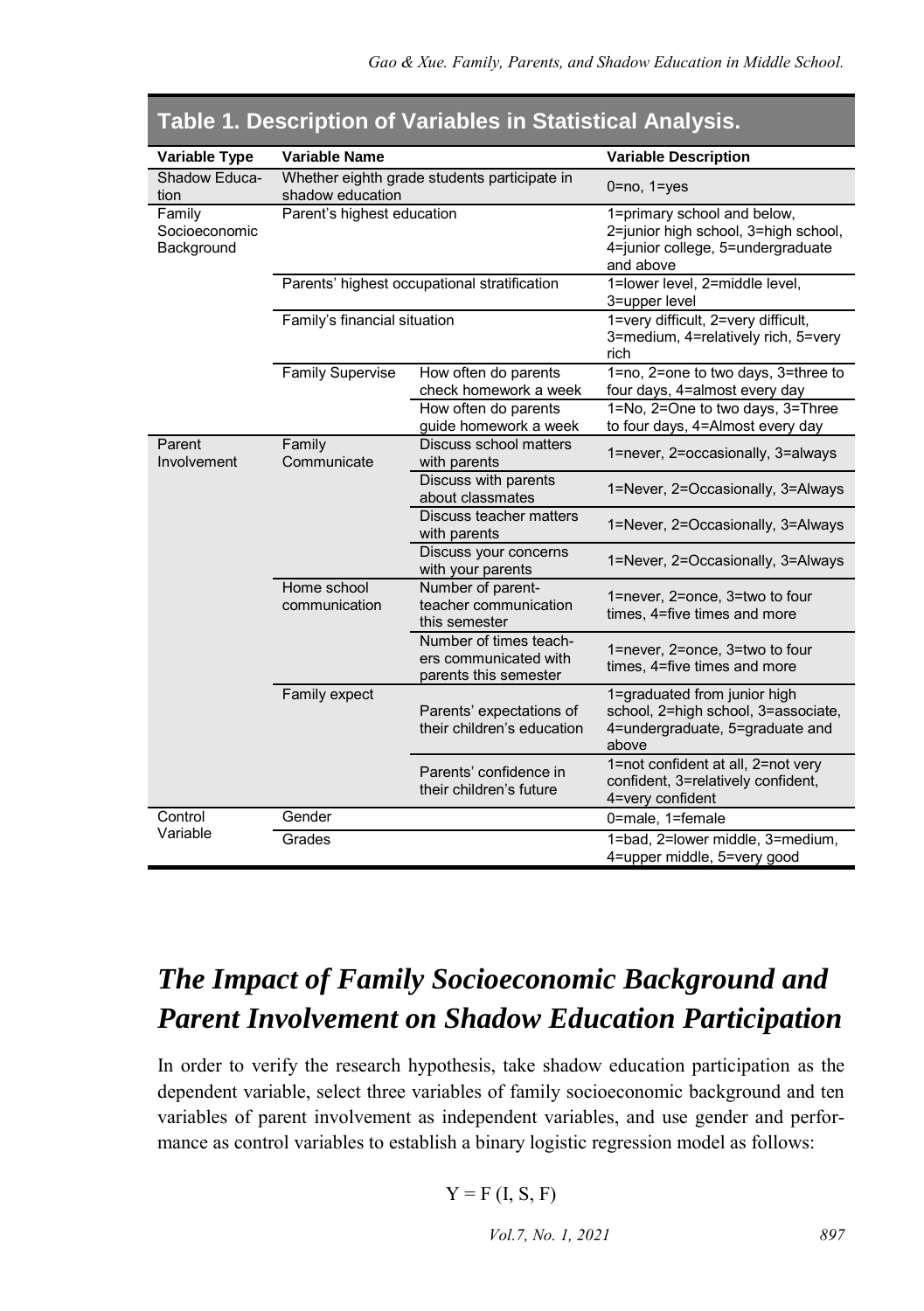| Variable Type                         | Variable Name                |                                                                          | <b>Variable Description</b>                                                                                           |  |  |  |
|---------------------------------------|------------------------------|--------------------------------------------------------------------------|-----------------------------------------------------------------------------------------------------------------------|--|--|--|
| Shadow Educa-<br>tion                 | shadow education             | Whether eighth grade students participate in                             | $0 = no$ , $1 = yes$                                                                                                  |  |  |  |
| Family<br>Socioeconomic<br>Background | Parent's highest education   |                                                                          | 1=primary school and below,<br>2=junior high school, 3=high school,<br>4=junior college, 5=undergraduate<br>and above |  |  |  |
|                                       |                              | Parents' highest occupational stratification                             | 1=lower level, 2=middle level,<br>3=upper level                                                                       |  |  |  |
|                                       | Family's financial situation |                                                                          | 1=very difficult, 2=very difficult,<br>3=medium, 4=relatively rich, 5=very<br>rich                                    |  |  |  |
|                                       | <b>Family Supervise</b>      | How often do parents<br>check homework a week                            | 1=no, 2=one to two days, 3=three to<br>four days, 4=almost every day                                                  |  |  |  |
|                                       |                              | How often do parents<br>guide homework a week                            | 1=No, 2=One to two days, 3=Three<br>to four days, 4=Almost every day                                                  |  |  |  |
| Parent<br>Involvement                 | Family<br>Communicate        | Discuss school matters<br>with parents                                   | 1=never, 2=occasionally, 3=always                                                                                     |  |  |  |
|                                       |                              | Discuss with parents<br>about classmates                                 | 1=Never, 2=Occasionally, 3=Always                                                                                     |  |  |  |
|                                       |                              | Discuss teacher matters<br>with parents                                  | 1=Never, 2=Occasionally, 3=Always                                                                                     |  |  |  |
|                                       |                              | Discuss your concerns<br>with your parents                               | 1=Never, 2=Occasionally, 3=Always                                                                                     |  |  |  |
|                                       | Home school<br>communication | Number of parent-<br>teacher communication<br>this semester              | 1=never, 2=once, 3=two to four<br>times, 4=five times and more                                                        |  |  |  |
|                                       |                              | Number of times teach-<br>ers communicated with<br>parents this semester | 1=never, 2=once, 3=two to four<br>times, 4=five times and more                                                        |  |  |  |
|                                       | Family expect                | Parents' expectations of<br>their children's education                   | 1=graduated from junior high<br>school, 2=high school, 3=associate,<br>4=undergraduate, 5=graduate and<br>above       |  |  |  |
|                                       |                              | Parents' confidence in<br>their children's future                        | 1=not confident at all, 2=not very<br>confident, 3=relatively confident,<br>4=very confident                          |  |  |  |
| Control                               | Gender                       |                                                                          | 0=male, 1=female                                                                                                      |  |  |  |
| Variable                              | Grades                       |                                                                          | 1=bad, 2=lower middle, 3=medium,<br>4=upper middle, 5=very good                                                       |  |  |  |

#### **Table 1. Description of Variables in Statistical Analysis.**

### *The Impact of Family Socioeconomic Background and Parent Involvement on Shadow Education Participation*

In order to verify the research hypothesis, take shadow education participation as the dependent variable, select three variables of family socioeconomic background and ten variables of parent involvement as independent variables, and use gender and performance as control variables to establish a binary logistic regression model as follows:

$$
Y = F(I, S, F)
$$

*Vol.7, No. 1, 2021* 897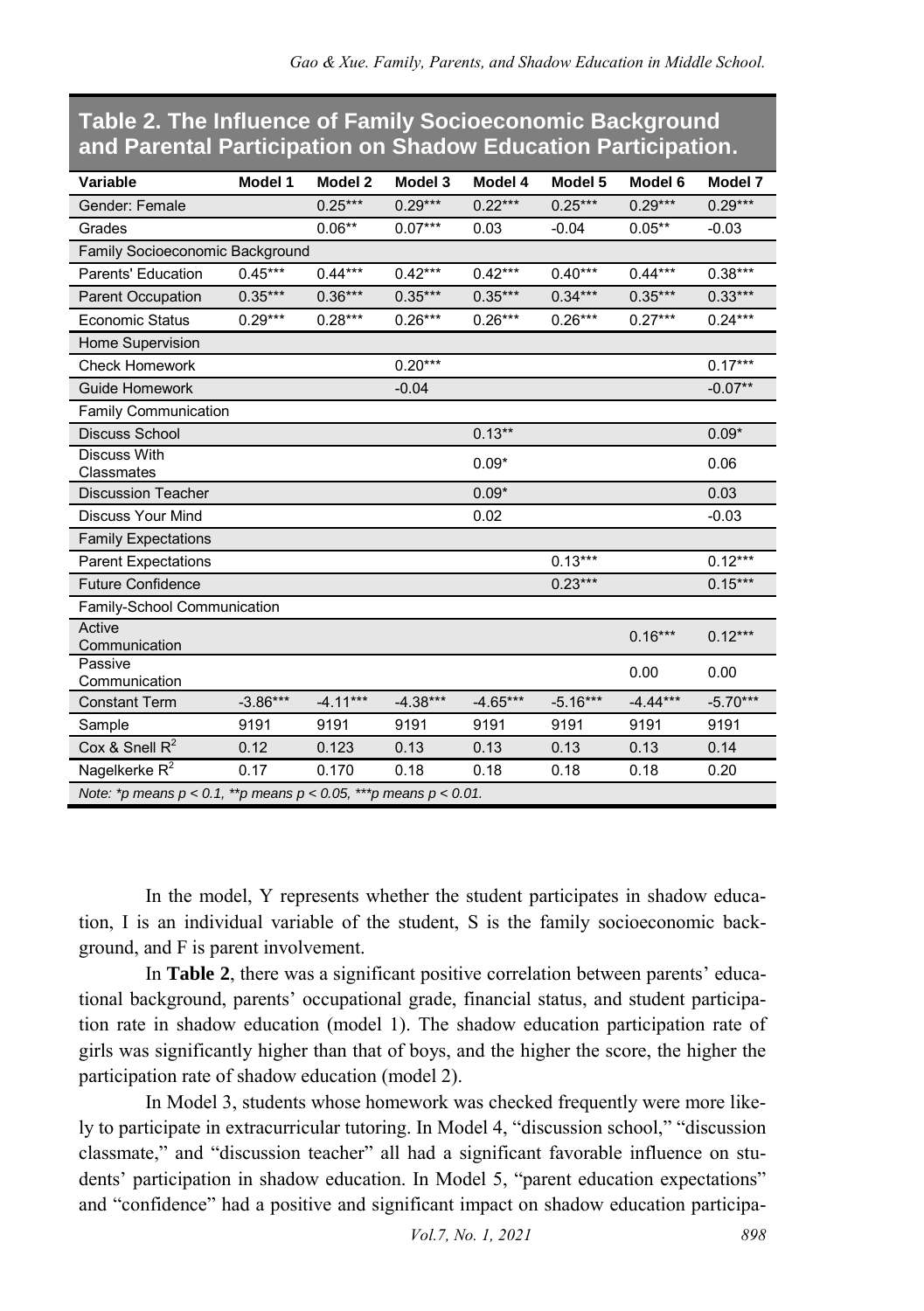#### **Table 2. The Influence of Family Socioeconomic Background and Parental Participation on Shadow Education Participation.**

| Variable                                                                  | Model 1    | Model 2    | Model 3    | Model 4    | Model 5    | Model 6    | Model 7    |  |
|---------------------------------------------------------------------------|------------|------------|------------|------------|------------|------------|------------|--|
| Gender: Female                                                            |            | $0.25***$  | $0.29***$  | $0.22***$  | $0.25***$  | $0.29***$  | $0.29***$  |  |
| Grades                                                                    |            | $0.06**$   | $0.07***$  | 0.03       | $-0.04$    | $0.05**$   | $-0.03$    |  |
| Family Socioeconomic Background                                           |            |            |            |            |            |            |            |  |
| Parents' Education                                                        | $0.45***$  | $0.44***$  | $0.42***$  | $0.42***$  | $0.40***$  | $0.44***$  | $0.38***$  |  |
| <b>Parent Occupation</b>                                                  | $0.35***$  | $0.36***$  | $0.35***$  | $0.35***$  | $0.34***$  | $0.35***$  | $0.33***$  |  |
| <b>Economic Status</b>                                                    | $0.29***$  | $0.28***$  | $0.26***$  | $0.26***$  | $0.26***$  | $0.27***$  | $0.24***$  |  |
| Home Supervision                                                          |            |            |            |            |            |            |            |  |
| <b>Check Homework</b>                                                     |            |            | $0.20***$  |            |            |            | $0.17***$  |  |
| Guide Homework                                                            |            |            | $-0.04$    |            |            |            | $-0.07**$  |  |
| Family Communication                                                      |            |            |            |            |            |            |            |  |
| <b>Discuss School</b>                                                     |            |            |            | $0.13***$  |            |            | $0.09*$    |  |
| <b>Discuss With</b><br>Classmates                                         |            |            |            | $0.09*$    |            |            | 0.06       |  |
| <b>Discussion Teacher</b>                                                 |            |            |            | $0.09*$    |            |            | 0.03       |  |
| <b>Discuss Your Mind</b>                                                  |            |            |            | 0.02       |            |            | $-0.03$    |  |
| <b>Family Expectations</b>                                                |            |            |            |            |            |            |            |  |
| <b>Parent Expectations</b>                                                |            |            |            |            | $0.13***$  |            | $0.12***$  |  |
| <b>Future Confidence</b>                                                  |            |            |            |            | $0.23***$  |            | $0.15***$  |  |
| Family-School Communication                                               |            |            |            |            |            |            |            |  |
| Active<br>Communication                                                   |            |            |            |            |            | $0.16***$  | $0.12***$  |  |
| Passive<br>Communication                                                  |            |            |            |            |            | 0.00       | 0.00       |  |
| <b>Constant Term</b>                                                      | $-3.86***$ | $-4.11***$ | $-4.38***$ | $-4.65***$ | $-5.16***$ | $-4.44***$ | $-5.70***$ |  |
| Sample                                                                    | 9191       | 9191       | 9191       | 9191       | 9191       | 9191       | 9191       |  |
| Cox & Snell $R^2$                                                         | 0.12       | 0.123      | 0.13       | 0.13       | 0.13       | 0.13       | 0.14       |  |
| Nagelkerke R <sup>2</sup>                                                 | 0.17       | 0.170      | 0.18       | 0.18       | 0.18       | 0.18       | 0.20       |  |
| Note: *p means $p < 0.1$ , **p means $p < 0.05$ , ***p means $p < 0.01$ . |            |            |            |            |            |            |            |  |

In the model, Y represents whether the student participates in shadow education, I is an individual variable of the student, S is the family socioeconomic background, and F is parent involvement.

In **Table 2**, there was a significant positive correlation between parents' educational background, parents' occupational grade, financial status, and student participation rate in shadow education (model 1). The shadow education participation rate of girls was significantly higher than that of boys, and the higher the score, the higher the participation rate of shadow education (model 2).

In Model 3, students whose homework was checked frequently were more likely to participate in extracurricular tutoring. In Model 4, "discussion school," "discussion classmate," and "discussion teacher" all had a significant favorable influence on students' participation in shadow education. In Model 5, "parent education expectations" and "confidence" had a positive and significant impact on shadow education participa-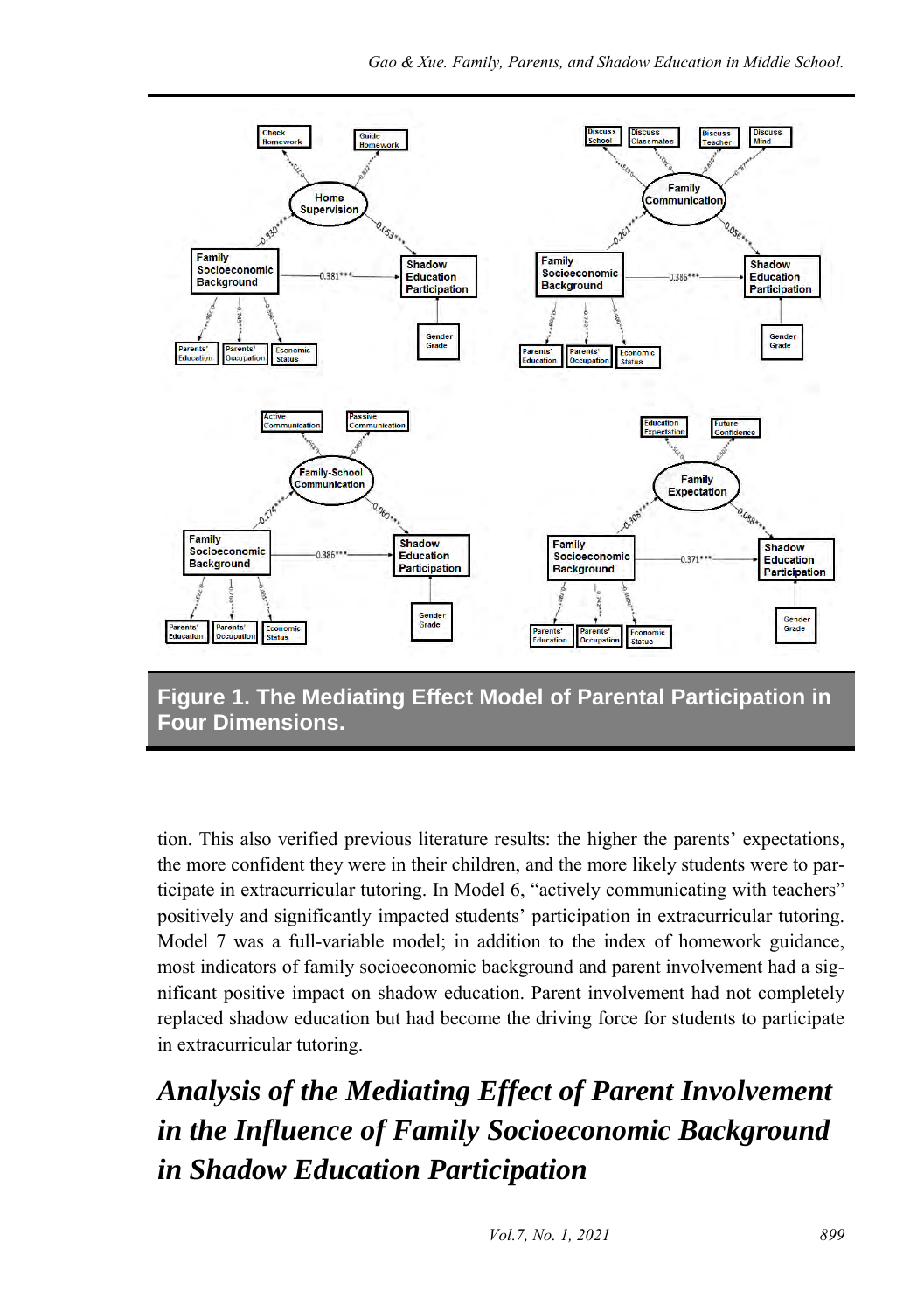

**Figure 1. The Mediating Effect Model of Parental Participation in Four Dimensions.**

tion. This also verified previous literature results: the higher the parents' expectations, the more confident they were in their children, and the more likely students were to participate in extracurricular tutoring. In Model 6, "actively communicating with teachers" positively and significantly impacted students' participation in extracurricular tutoring. Model 7 was a full-variable model; in addition to the index of homework guidance, most indicators of family socioeconomic background and parent involvement had a significant positive impact on shadow education. Parent involvement had not completely replaced shadow education but had become the driving force for students to participate in extracurricular tutoring.

*Analysis of the Mediating Effect of Parent Involvement in the Influence of Family Socioeconomic Background in Shadow Education Participation*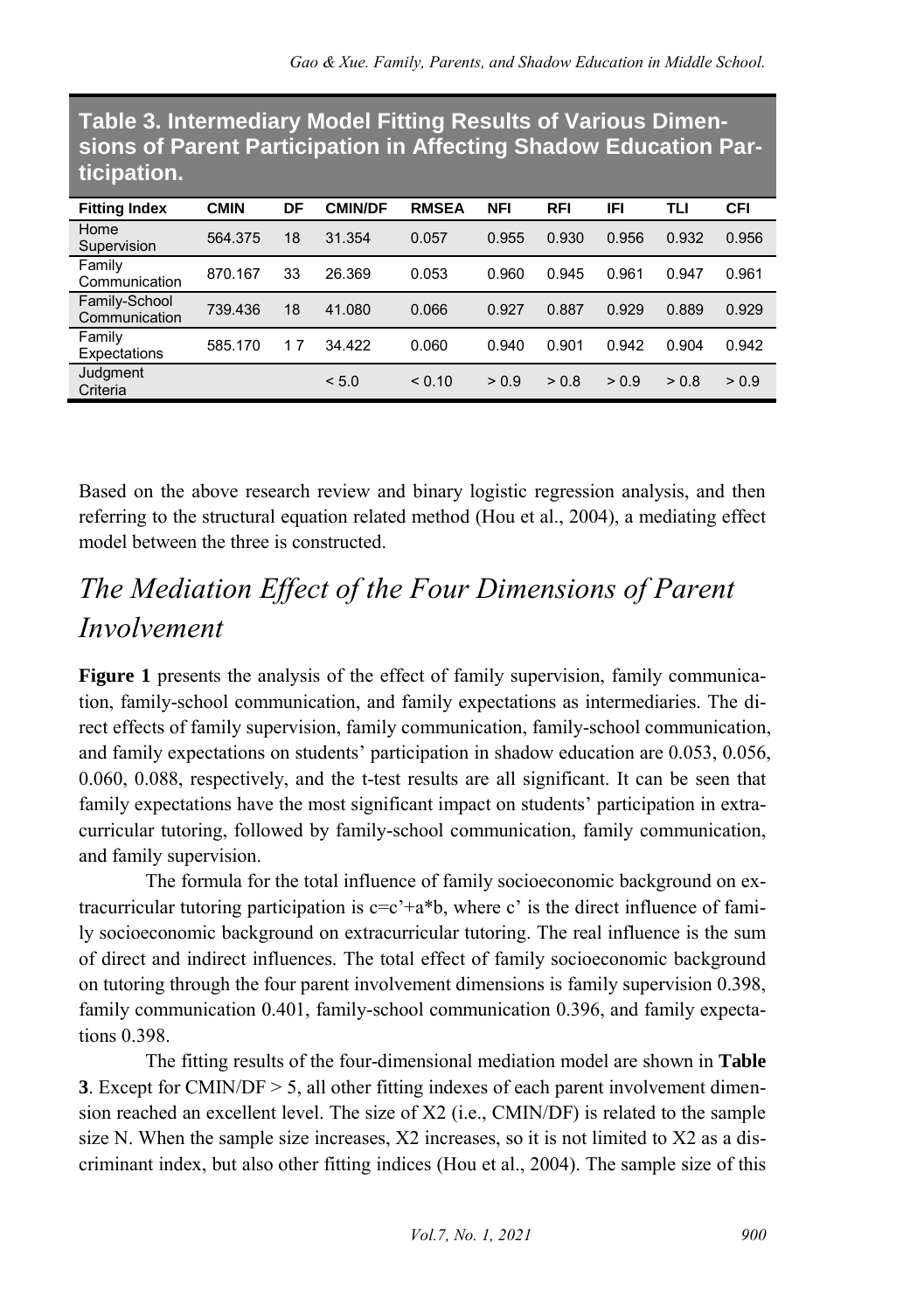| sions of Parent Participation in Affecting Shadow Education Par-<br>ticipation. |             |    |                |              |            |            |       |       |            |
|---------------------------------------------------------------------------------|-------------|----|----------------|--------------|------------|------------|-------|-------|------------|
| <b>Fitting Index</b>                                                            | <b>CMIN</b> | DF | <b>CMIN/DF</b> | <b>RMSEA</b> | <b>NFI</b> | <b>RFI</b> | IFI   | TLI   | <b>CFI</b> |
| Home<br>Supervision                                                             | 564.375     | 18 | 31.354         | 0.057        | 0.955      | 0.930      | 0.956 | 0.932 | 0.956      |
| Family<br>Communication                                                         | 870.167     | 33 | 26.369         | 0.053        | 0.960      | 0.945      | 0.961 | 0.947 | 0.961      |
| Family-School<br>Communication                                                  | 739.436     | 18 | 41.080         | 0.066        | 0.927      | 0.887      | 0.929 | 0.889 | 0.929      |
| Family<br>Expectations                                                          | 585.170     | 17 | 34.422         | 0.060        | 0.940      | 0.901      | 0.942 | 0.904 | 0.942      |
| Judgment<br>Criteria                                                            |             |    | < 5.0          | < 0.10       | > 0.9      | > 0.8      | > 0.9 | > 0.8 | > 0.9      |

**Table 3. Intermediary Model Fitting Results of Various Dimensions of Parent Participation in Affecting Shadow Education Par-**

Based on the above research review and binary logistic regression analysis, and then referring to the structural equation related method (Hou et al., 2004), a mediating effect model between the three is constructed.

## *The Mediation Effect of the Four Dimensions of Parent Involvement*

**Figure 1** presents the analysis of the effect of family supervision, family communication, family-school communication, and family expectations as intermediaries. The direct effects of family supervision, family communication, family-school communication, and family expectations on students' participation in shadow education are 0.053, 0.056, 0.060, 0.088, respectively, and the t-test results are all significant. It can be seen that family expectations have the most significant impact on students' participation in extracurricular tutoring, followed by family-school communication, family communication, and family supervision.

The formula for the total influence of family socioeconomic background on extracurricular tutoring participation is  $c=c^2+a^*b$ , where c' is the direct influence of family socioeconomic background on extracurricular tutoring. The real influence is the sum of direct and indirect influences. The total effect of family socioeconomic background on tutoring through the four parent involvement dimensions is family supervision 0.398, family communication 0.401, family-school communication 0.396, and family expectations 0.398.

The fitting results of the four-dimensional mediation model are shown in **Table 3**. Except for CMIN/DF > 5, all other fitting indexes of each parent involvement dimension reached an excellent level. The size of X2 (i.e., CMIN/DF) is related to the sample size N. When the sample size increases, X2 increases, so it is not limited to X2 as a discriminant index, but also other fitting indices (Hou et al., 2004). The sample size of this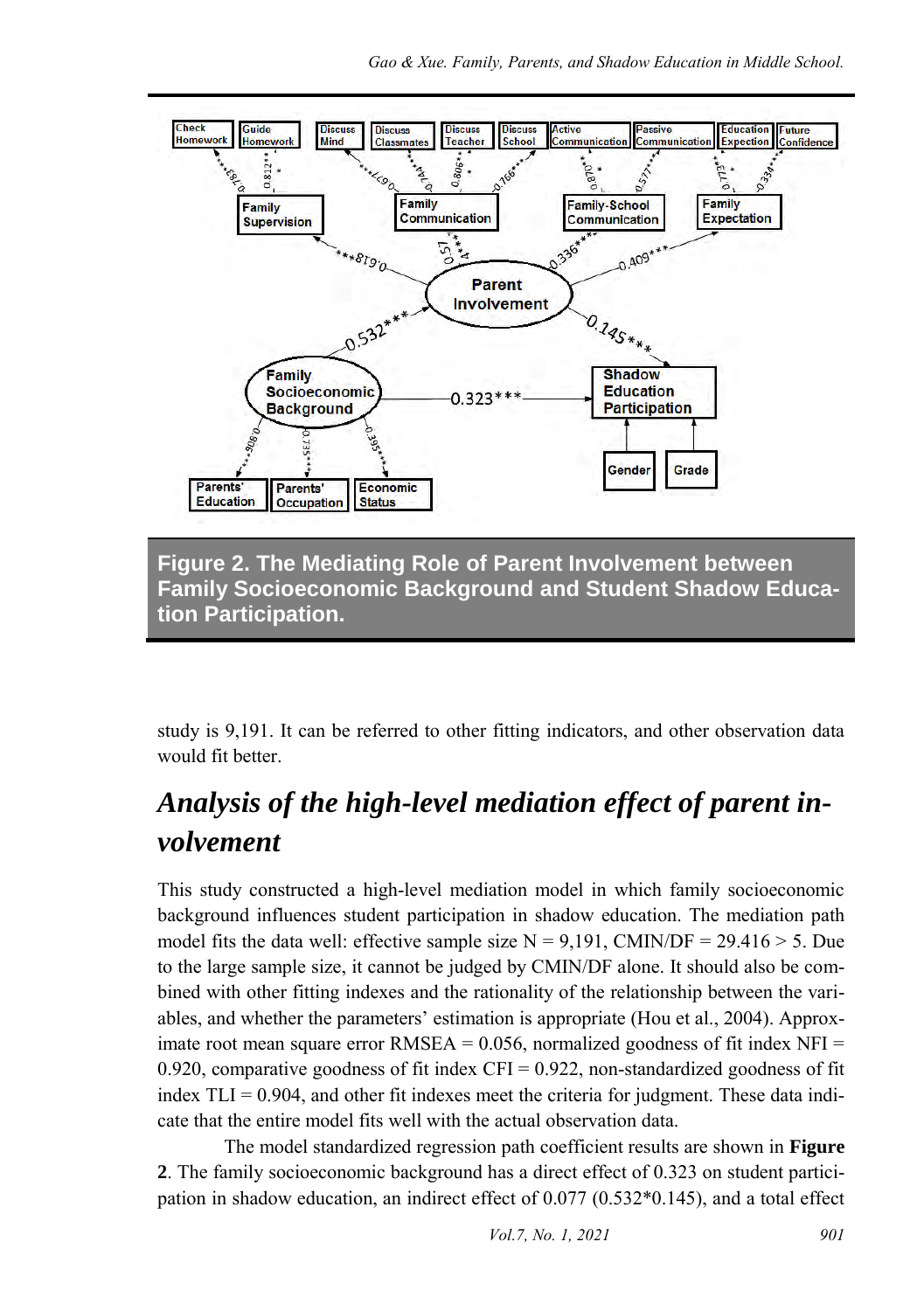

**Figure 2. The Mediating Role of Parent Involvement between Family Socioeconomic Background and Student Shadow Education Participation.**

study is 9,191. It can be referred to other fitting indicators, and other observation data would fit better.

### *Analysis of the high-level mediation effect of parent involvement*

This study constructed a high-level mediation model in which family socioeconomic background influences student participation in shadow education. The mediation path model fits the data well: effective sample size  $N = 9,191$ , CMIN/DF = 29.416 > 5. Due to the large sample size, it cannot be judged by CMIN/DF alone. It should also be combined with other fitting indexes and the rationality of the relationship between the variables, and whether the parameters' estimation is appropriate (Hou et al., 2004). Approximate root mean square error RMSEA =  $0.056$ , normalized goodness of fit index NFI = 0.920, comparative goodness of fit index  $CFI = 0.922$ , non-standardized goodness of fit index  $TLI = 0.904$ , and other fit indexes meet the criteria for judgment. These data indicate that the entire model fits well with the actual observation data.

The model standardized regression path coefficient results are shown in **Figure 2**. The family socioeconomic background has a direct effect of 0.323 on student participation in shadow education, an indirect effect of 0.077 (0.532\*0.145), and a total effect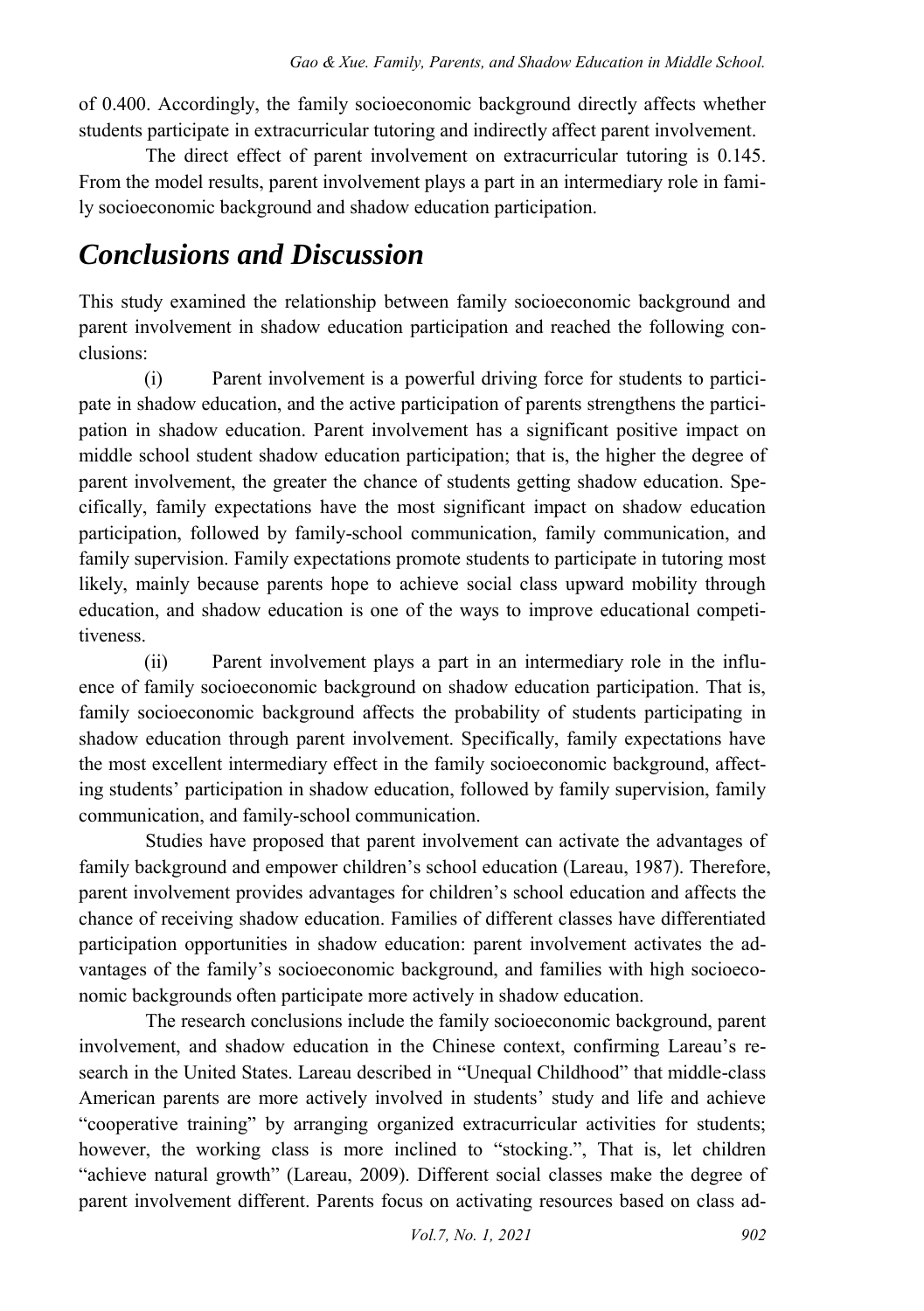of 0.400. Accordingly, the family socioeconomic background directly affects whether students participate in extracurricular tutoring and indirectly affect parent involvement.

The direct effect of parent involvement on extracurricular tutoring is 0.145. From the model results, parent involvement plays a part in an intermediary role in family socioeconomic background and shadow education participation.

### *Conclusions and Discussion*

This study examined the relationship between family socioeconomic background and parent involvement in shadow education participation and reached the following conclusions:

(i) Parent involvement is a powerful driving force for students to participate in shadow education, and the active participation of parents strengthens the participation in shadow education. Parent involvement has a significant positive impact on middle school student shadow education participation; that is, the higher the degree of parent involvement, the greater the chance of students getting shadow education. Specifically, family expectations have the most significant impact on shadow education participation, followed by family-school communication, family communication, and family supervision. Family expectations promote students to participate in tutoring most likely, mainly because parents hope to achieve social class upward mobility through education, and shadow education is one of the ways to improve educational competitiveness.

(ii) Parent involvement plays a part in an intermediary role in the influence of family socioeconomic background on shadow education participation. That is, family socioeconomic background affects the probability of students participating in shadow education through parent involvement. Specifically, family expectations have the most excellent intermediary effect in the family socioeconomic background, affecting students' participation in shadow education, followed by family supervision, family communication, and family-school communication.

Studies have proposed that parent involvement can activate the advantages of family background and empower children's school education (Lareau, 1987). Therefore, parent involvement provides advantages for children's school education and affects the chance of receiving shadow education. Families of different classes have differentiated participation opportunities in shadow education: parent involvement activates the advantages of the family's socioeconomic background, and families with high socioeconomic backgrounds often participate more actively in shadow education.

The research conclusions include the family socioeconomic background, parent involvement, and shadow education in the Chinese context, confirming Lareau's research in the United States. Lareau described in "Unequal Childhood" that middle-class American parents are more actively involved in students' study and life and achieve "cooperative training" by arranging organized extracurricular activities for students; however, the working class is more inclined to "stocking.", That is, let children "achieve natural growth" (Lareau, 2009). Different social classes make the degree of parent involvement different. Parents focus on activating resources based on class ad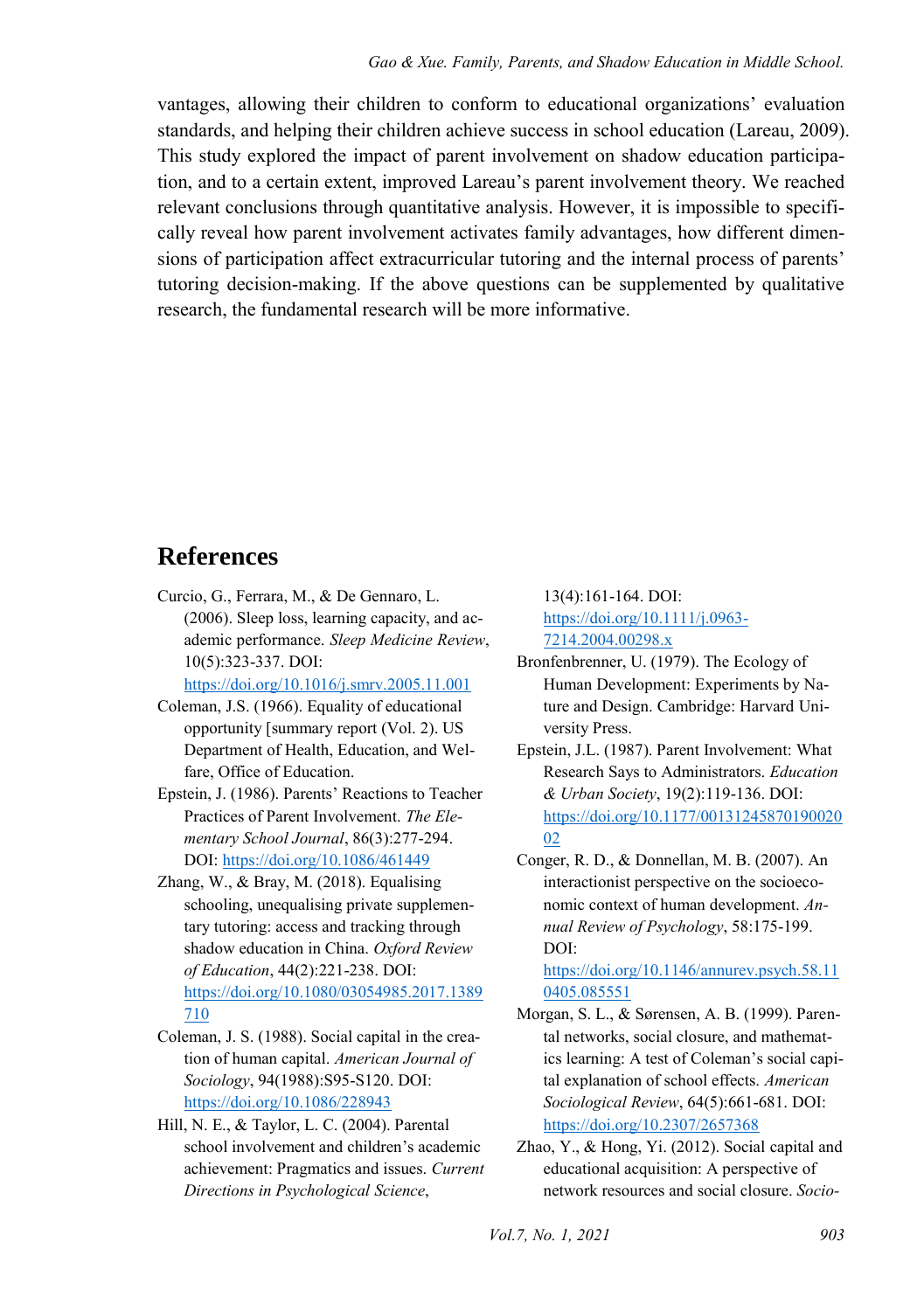vantages, allowing their children to conform to educational organizations' evaluation standards, and helping their children achieve success in school education (Lareau, 2009). This study explored the impact of parent involvement on shadow education participation, and to a certain extent, improved Lareau's parent involvement theory. We reached relevant conclusions through quantitative analysis. However, it is impossible to specifically reveal how parent involvement activates family advantages, how different dimensions of participation affect extracurricular tutoring and the internal process of parents' tutoring decision-making. If the above questions can be supplemented by qualitative research, the fundamental research will be more informative.

#### **References**

Curcio, G., Ferrara, M., & De Gennaro, L. (2006). Sleep loss, learning capacity, and academic performance. *Sleep Medicine Review*, 10(5):323-337. DOI:

<https://doi.org/10.1016/j.smrv.2005.11.001>

- Coleman, J.S. (1966). Equality of educational opportunity [summary report (Vol. 2). US Department of Health, Education, and Welfare, Office of Education.
- Epstein, J. (1986). Parents' Reactions to Teacher Practices of Parent Involvement. *The Elementary School Journal*, 86(3):277-294. DOI:<https://doi.org/10.1086/461449>
- Zhang, W., & Bray, M. (2018). Equalising schooling, unequalising private supplementary tutoring: access and tracking through shadow education in China. *Oxford Review of Education*, 44(2):221-238. DOI: [https://doi.org/10.1080/03054985.2017.1389](https://doi.org/10.1080/03054985.2017.1389710) [710](https://doi.org/10.1080/03054985.2017.1389710)
- Coleman, J. S. (1988). Social capital in the creation of human capital. *American Journal of Sociology*, 94(1988):S95-S120. DOI: <https://doi.org/10.1086/228943>
- Hill, N. E., & Taylor, L. C. (2004). Parental school involvement and children's academic achievement: Pragmatics and issues. *Current Directions in Psychological Science*,

13(4):161-164. DOI: [https://doi.org/10.1111/j.0963-](https://doi.org/10.1111/j.0963-7214.2004.00298.x) [7214.2004.00298.x](https://doi.org/10.1111/j.0963-7214.2004.00298.x) 

- Bronfenbrenner, U. (1979). The Ecology of Human Development: Experiments by Nature and Design. Cambridge: Harvard University Press.
- Epstein, J.L. (1987). Parent Involvement: What Research Says to Administrators. *Education & Urban Society*, 19(2):119-136. DOI: [https://doi.org/10.1177/00131245870190020](https://doi.org/10.1177/0013124587019002002) [02](https://doi.org/10.1177/0013124587019002002)
- Conger, R. D., & Donnellan, M. B. (2007). An interactionist perspective on the socioeconomic context of human development. *Annual Review of Psychology*, 58:175-199. DOI:

[https://doi.org/10.1146/annurev.psych.58.11](https://doi.org/10.1146/annurev.psych.58.110405.085551) [0405.085551](https://doi.org/10.1146/annurev.psych.58.110405.085551) 

- Morgan, S. L., & Sørensen, A. B. (1999). Parental networks, social closure, and mathematics learning: A test of Coleman's social capital explanation of school effects. *American Sociological Review*, 64(5):661-681. DOI: <https://doi.org/10.2307/2657368>
- Zhao, Y., & Hong, Yi. (2012). Social capital and educational acquisition: A perspective of network resources and social closure. *Socio-*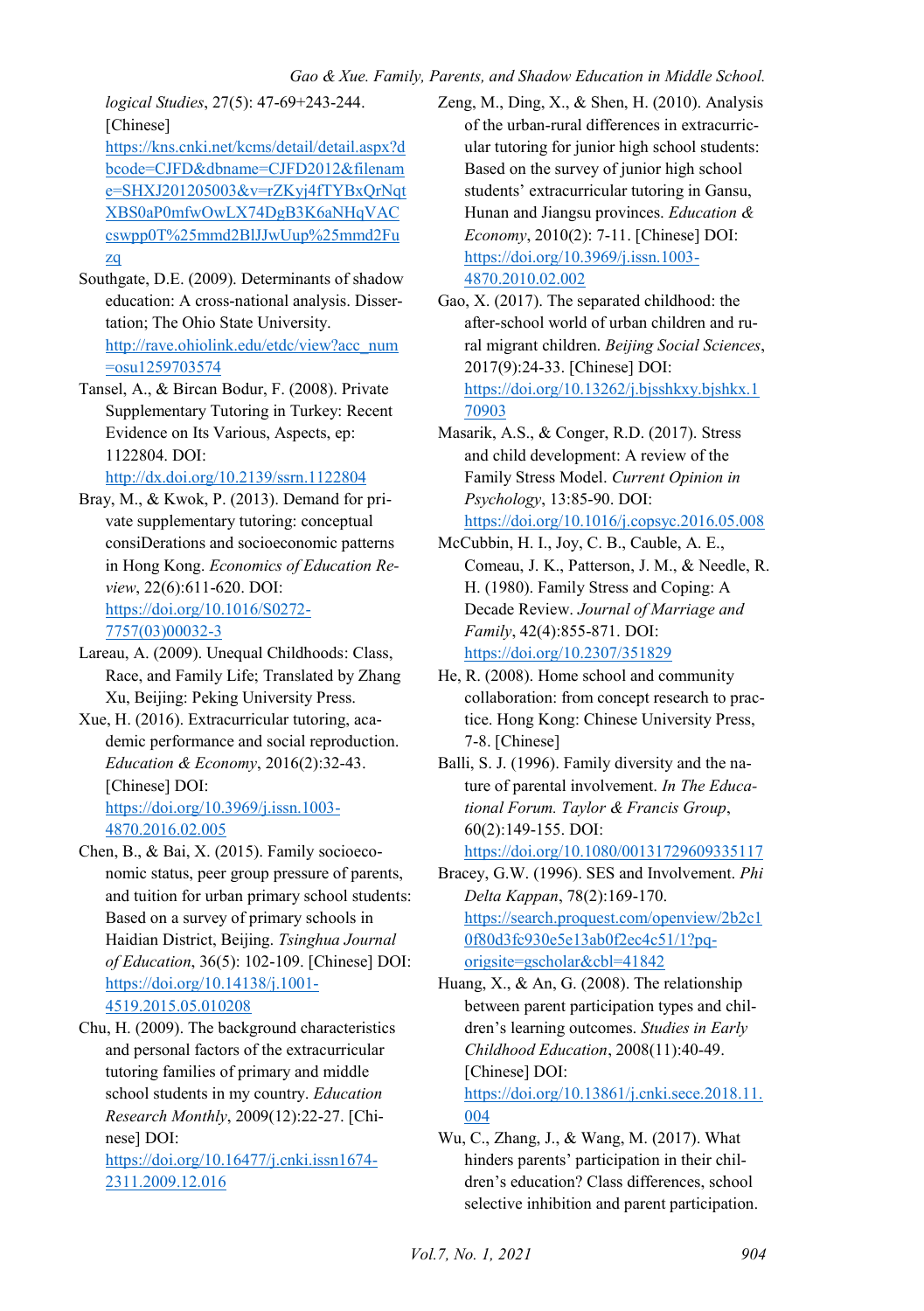*logical Studies*, 27(5): 47-69+243-244. [Chinese] [https://kns.cnki.net/kcms/detail/detail.aspx?d](https://kns.cnki.net/kcms/detail/detail.aspx?dbcode=CJFD&dbname=CJFD2012&filename=SHXJ201205003&v=rZKyj4fTYBxQrNqtXBS0aP0mfwOwLX74DgB3K6aNHqVACcswpp0T%25mmd2BlJJwUup%25mmd2Fuzq)

[bcode=CJFD&dbname=CJFD2012&filenam](https://kns.cnki.net/kcms/detail/detail.aspx?dbcode=CJFD&dbname=CJFD2012&filename=SHXJ201205003&v=rZKyj4fTYBxQrNqtXBS0aP0mfwOwLX74DgB3K6aNHqVACcswpp0T%25mmd2BlJJwUup%25mmd2Fuzq) [e=SHXJ201205003&v=rZKyj4fTYBxQrNqt](https://kns.cnki.net/kcms/detail/detail.aspx?dbcode=CJFD&dbname=CJFD2012&filename=SHXJ201205003&v=rZKyj4fTYBxQrNqtXBS0aP0mfwOwLX74DgB3K6aNHqVACcswpp0T%25mmd2BlJJwUup%25mmd2Fuzq) [XBS0aP0mfwOwLX74DgB3K6aNHqVAC](https://kns.cnki.net/kcms/detail/detail.aspx?dbcode=CJFD&dbname=CJFD2012&filename=SHXJ201205003&v=rZKyj4fTYBxQrNqtXBS0aP0mfwOwLX74DgB3K6aNHqVACcswpp0T%25mmd2BlJJwUup%25mmd2Fuzq) [cswpp0T%25mmd2BlJJwUup%25mmd2Fu](https://kns.cnki.net/kcms/detail/detail.aspx?dbcode=CJFD&dbname=CJFD2012&filename=SHXJ201205003&v=rZKyj4fTYBxQrNqtXBS0aP0mfwOwLX74DgB3K6aNHqVACcswpp0T%25mmd2BlJJwUup%25mmd2Fuzq) [zq](https://kns.cnki.net/kcms/detail/detail.aspx?dbcode=CJFD&dbname=CJFD2012&filename=SHXJ201205003&v=rZKyj4fTYBxQrNqtXBS0aP0mfwOwLX74DgB3K6aNHqVACcswpp0T%25mmd2BlJJwUup%25mmd2Fuzq) 

- Southgate, D.E. (2009). Determinants of shadow education: A cross-national analysis. Dissertation; The Ohio State University. [http://rave.ohiolink.edu/etdc/view?acc\\_num](http://rave.ohiolink.edu/etdc/view?acc_num=osu1259703574) [=osu1259703574](http://rave.ohiolink.edu/etdc/view?acc_num=osu1259703574)
- Tansel, A., & Bircan Bodur, F. (2008). Private Supplementary Tutoring in Turkey: Recent Evidence on Its Various, Aspects, ep: 1122804. DOI:

<http://dx.doi.org/10.2139/ssrn.1122804>

- Bray, M., & Kwok, P. (2013). Demand for private supplementary tutoring: conceptual consiDerations and socioeconomic patterns in Hong Kong. *Economics of Education Review*, 22(6):611-620. DOI: [https://doi.org/10.1016/S0272-](https://doi.org/10.1016/S0272-7757(03)00032-3) [7757\(03\)00032-3](https://doi.org/10.1016/S0272-7757(03)00032-3)
- Lareau, A. (2009). Unequal Childhoods: Class, Race, and Family Life; Translated by Zhang Xu, Beijing: Peking University Press.
- Xue, H. (2016). Extracurricular tutoring, academic performance and social reproduction. *Education & Economy*, 2016(2):32-43. [Chinese] DOI: [https://doi.org/10.3969/j.issn.1003-](https://doi.org/10.3969/j.issn.1003-4870.2016.02.005) [4870.2016.02.005](https://doi.org/10.3969/j.issn.1003-4870.2016.02.005)
- Chen, B., & Bai, X. (2015). Family socioeconomic status, peer group pressure of parents, and tuition for urban primary school students: Based on a survey of primary schools in Haidian District, Beijing. *Tsinghua Journal of Education*, 36(5): 102-109. [Chinese] DOI: [https://doi.org/10.14138/j.1001-](https://doi.org/10.14138/j.1001-4519.2015.05.010208) [4519.2015.05.010208](https://doi.org/10.14138/j.1001-4519.2015.05.010208)
- Chu, H. (2009). The background characteristics and personal factors of the extracurricular tutoring families of primary and middle school students in my country. *Education Research Monthly*, 2009(12):22-27. [Chinese] DOI: [https://doi.org/10.16477/j.cnki.issn1674-](https://doi.org/10.16477/j.cnki.issn1674-2311.2009.12.016)

[2311.2009.12.016](https://doi.org/10.16477/j.cnki.issn1674-2311.2009.12.016) 

- Zeng, M., Ding, X., & Shen, H. (2010). Analysis of the urban-rural differences in extracurricular tutoring for junior high school students: Based on the survey of junior high school students' extracurricular tutoring in Gansu, Hunan and Jiangsu provinces. *Education & Economy*, 2010(2): 7-11. [Chinese] DOI: [https://doi.org/10.3969/j.issn.1003-](https://doi.org/10.3969/j.issn.1003-4870.2010.02.002) [4870.2010.02.002](https://doi.org/10.3969/j.issn.1003-4870.2010.02.002)
- Gao, X. (2017). The separated childhood: the after-school world of urban children and rural migrant children. *Beijing Social Sciences*, 2017(9):24-33. [Chinese] DOI: [https://doi.org/10.13262/j.bjsshkxy.bjshkx.1](https://doi.org/10.13262/j.bjsshkxy.bjshkx.170903) [70903](https://doi.org/10.13262/j.bjsshkxy.bjshkx.170903)
- Masarik, A.S., & Conger, R.D. (2017). Stress and child development: A review of the Family Stress Model. *Current Opinion in Psychology*, 13:85-90. DOI:

<https://doi.org/10.1016/j.copsyc.2016.05.008>

- McCubbin, H. I., Joy, C. B., Cauble, A. E., Comeau, J. K., Patterson, J. M., & Needle, R. H. (1980). Family Stress and Coping: A Decade Review. *Journal of Marriage and Family*, 42(4):855-871. DOI: <https://doi.org/10.2307/351829>
- He, R. (2008). Home school and community collaboration: from concept research to practice. Hong Kong: Chinese University Press, 7-8. [Chinese]
- Balli, S. J. (1996). Family diversity and the nature of parental involvement. *In The Educational Forum. Taylor & Francis Group*, 60(2):149-155. DOI: <https://doi.org/10.1080/00131729609335117>
- Bracey, G.W. (1996). SES and Involvement. *Phi Delta Kappan*, 78(2):169-170. [https://search.proquest.com/openview/2b2c1](https://search.proquest.com/openview/2b2c10f80d3fc930e5e13ab0f2ec4c51/1?pq-origsite=gscholar&cbl=41842) [0f80d3fc930e5e13ab0f2ec4c51/1?pq](https://search.proquest.com/openview/2b2c10f80d3fc930e5e13ab0f2ec4c51/1?pq-origsite=gscholar&cbl=41842)[origsite=gscholar&cbl=41842](https://search.proquest.com/openview/2b2c10f80d3fc930e5e13ab0f2ec4c51/1?pq-origsite=gscholar&cbl=41842)
- Huang, X., & An, G. (2008). The relationship between parent participation types and children's learning outcomes. *Studies in Early Childhood Education*, 2008(11):40-49. [Chinese] DOI: [https://doi.org/10.13861/j.cnki.sece.2018.11.](https://doi.org/10.13861/j.cnki.sece.2018.11.004)

[004](https://doi.org/10.13861/j.cnki.sece.2018.11.004) 

Wu, C., Zhang, J., & Wang, M. (2017). What hinders parents' participation in their children's education? Class differences, school selective inhibition and parent participation.